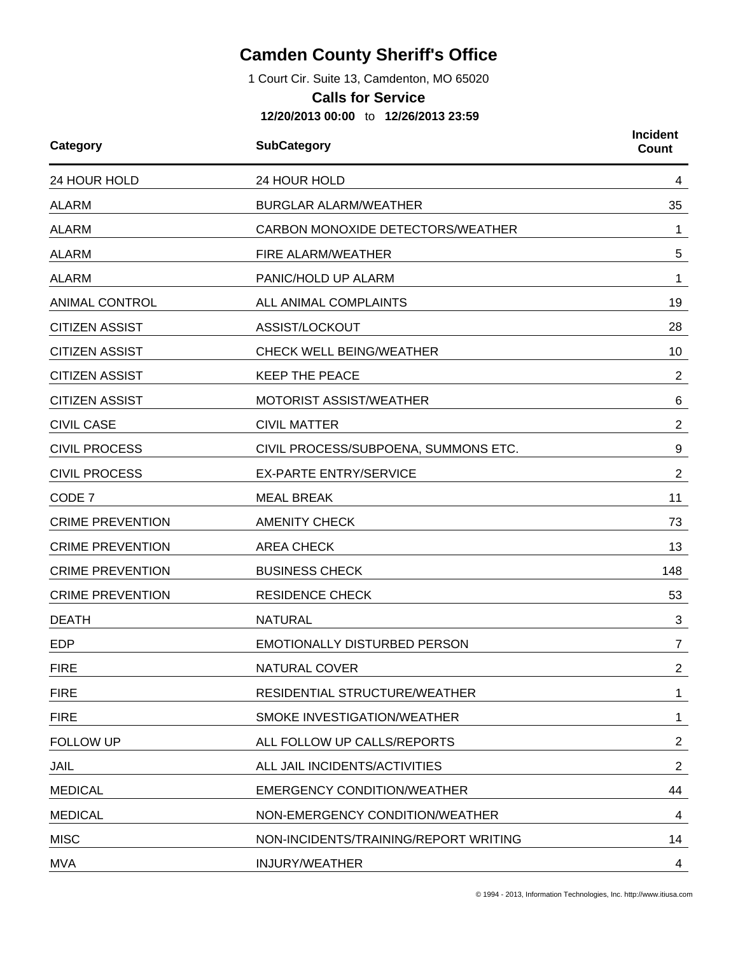## **Camden County Sheriff's Office**

1 Court Cir. Suite 13, Camdenton, MO 65020

## **Calls for Service**

**12/20/2013 00:00** to **12/26/2013 23:59**

| Category                | <b>SubCategory</b>                    |                |
|-------------------------|---------------------------------------|----------------|
| 24 HOUR HOLD            | 24 HOUR HOLD                          | 4              |
| <b>ALARM</b>            | <b>BURGLAR ALARM/WEATHER</b>          | 35             |
| <b>ALARM</b>            | CARBON MONOXIDE DETECTORS/WEATHER     | 1              |
| <b>ALARM</b>            | FIRE ALARM/WEATHER                    | 5              |
| <b>ALARM</b>            | PANIC/HOLD UP ALARM                   | 1              |
| <b>ANIMAL CONTROL</b>   | ALL ANIMAL COMPLAINTS                 | 19             |
| <b>CITIZEN ASSIST</b>   | ASSIST/LOCKOUT                        | 28             |
| <b>CITIZEN ASSIST</b>   | <b>CHECK WELL BEING/WEATHER</b>       | 10             |
| <b>CITIZEN ASSIST</b>   | <b>KEEP THE PEACE</b>                 | $\overline{c}$ |
| <b>CITIZEN ASSIST</b>   | <b>MOTORIST ASSIST/WEATHER</b>        | 6              |
| <b>CIVIL CASE</b>       | <b>CIVIL MATTER</b>                   | $\overline{2}$ |
| <b>CIVIL PROCESS</b>    | CIVIL PROCESS/SUBPOENA, SUMMONS ETC.  | 9              |
| <b>CIVIL PROCESS</b>    | <b>EX-PARTE ENTRY/SERVICE</b>         | $\overline{2}$ |
| CODE 7                  | <b>MEAL BREAK</b>                     | 11             |
| <b>CRIME PREVENTION</b> | <b>AMENITY CHECK</b>                  | 73             |
| <b>CRIME PREVENTION</b> | <b>AREA CHECK</b>                     | 13             |
| <b>CRIME PREVENTION</b> | <b>BUSINESS CHECK</b>                 | 148            |
| <b>CRIME PREVENTION</b> | <b>RESIDENCE CHECK</b>                | 53             |
| <b>DEATH</b>            | <b>NATURAL</b>                        | 3              |
| <b>EDP</b>              | <b>EMOTIONALLY DISTURBED PERSON</b>   | $\overline{7}$ |
| <b>FIRE</b>             | NATURAL COVER                         | 2              |
| <b>FIRE</b>             | RESIDENTIAL STRUCTURE/WEATHER         | $\mathbf 1$    |
| <b>FIRE</b>             | SMOKE INVESTIGATION/WEATHER           | 1              |
| <b>FOLLOW UP</b>        | ALL FOLLOW UP CALLS/REPORTS           | $\overline{2}$ |
| JAIL                    | ALL JAIL INCIDENTS/ACTIVITIES         | $\overline{2}$ |
| <b>MEDICAL</b>          | <b>EMERGENCY CONDITION/WEATHER</b>    | 44             |
| <b>MEDICAL</b>          | NON-EMERGENCY CONDITION/WEATHER       | 4              |
| <b>MISC</b>             | NON-INCIDENTS/TRAINING/REPORT WRITING | 14             |
| <b>MVA</b>              | <b>INJURY/WEATHER</b>                 | 4              |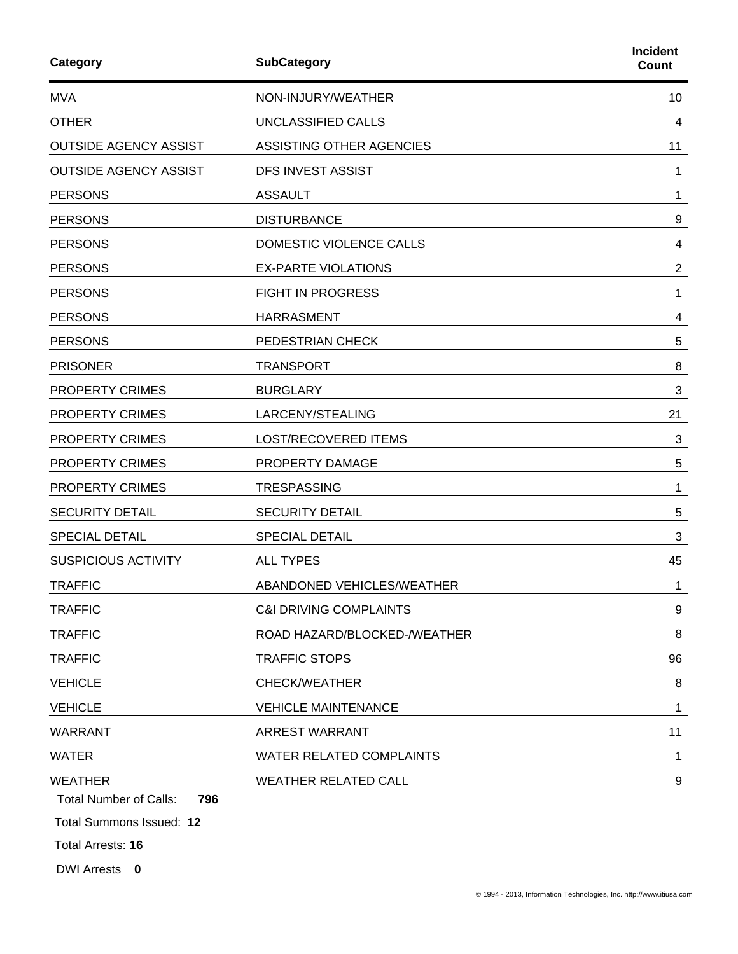| Category                             | Incident<br>Count                 |                |
|--------------------------------------|-----------------------------------|----------------|
| <b>MVA</b>                           | NON-INJURY/WEATHER                | 10             |
| <b>OTHER</b>                         | UNCLASSIFIED CALLS                | 4              |
| <b>OUTSIDE AGENCY ASSIST</b>         | ASSISTING OTHER AGENCIES          | 11             |
| <b>OUTSIDE AGENCY ASSIST</b>         | DFS INVEST ASSIST                 | 1              |
| <b>PERSONS</b>                       | <b>ASSAULT</b>                    | 1              |
| <b>PERSONS</b>                       | <b>DISTURBANCE</b>                | 9              |
| <b>PERSONS</b>                       | DOMESTIC VIOLENCE CALLS           | 4              |
| <b>PERSONS</b>                       | <b>EX-PARTE VIOLATIONS</b>        | $\overline{2}$ |
| <b>PERSONS</b>                       | <b>FIGHT IN PROGRESS</b>          | 1              |
| <b>PERSONS</b>                       | <b>HARRASMENT</b>                 | 4              |
| <b>PERSONS</b>                       | PEDESTRIAN CHECK                  | 5              |
| <b>PRISONER</b>                      | <b>TRANSPORT</b>                  | 8              |
| PROPERTY CRIMES                      | <b>BURGLARY</b>                   | 3              |
| <b>PROPERTY CRIMES</b>               | LARCENY/STEALING                  |                |
| <b>PROPERTY CRIMES</b>               | <b>LOST/RECOVERED ITEMS</b>       | 3              |
| <b>PROPERTY CRIMES</b>               | PROPERTY DAMAGE                   | 5              |
| <b>PROPERTY CRIMES</b>               | <b>TRESPASSING</b>                | 1              |
| <b>SECURITY DETAIL</b>               | <b>SECURITY DETAIL</b>            |                |
| <b>SPECIAL DETAIL</b>                | <b>SPECIAL DETAIL</b>             | 3              |
| <b>SUSPICIOUS ACTIVITY</b>           | <b>ALL TYPES</b>                  | 45             |
| <b>TRAFFIC</b>                       | ABANDONED VEHICLES/WEATHER        | 1              |
| <b>TRAFFIC</b>                       | <b>C&amp;I DRIVING COMPLAINTS</b> |                |
| <b>TRAFFIC</b>                       | ROAD HAZARD/BLOCKED-/WEATHER      | 8              |
| <b>TRAFFIC</b>                       | <b>TRAFFIC STOPS</b>              |                |
| <b>VEHICLE</b>                       | <b>CHECK/WEATHER</b>              |                |
| <b>VEHICLE</b>                       | <b>VEHICLE MAINTENANCE</b>        | 1              |
| <b>WARRANT</b>                       | <b>ARREST WARRANT</b>             | 11             |
| <b>WATER</b>                         | WATER RELATED COMPLAINTS          |                |
| <b>WEATHER</b>                       | <b>WEATHER RELATED CALL</b>       | 9              |
| 796<br><b>Total Number of Calls:</b> |                                   |                |
| Total Summons Issued: 12             |                                   |                |
| Total Arrests: 16                    |                                   |                |

DWI Arrests **0**